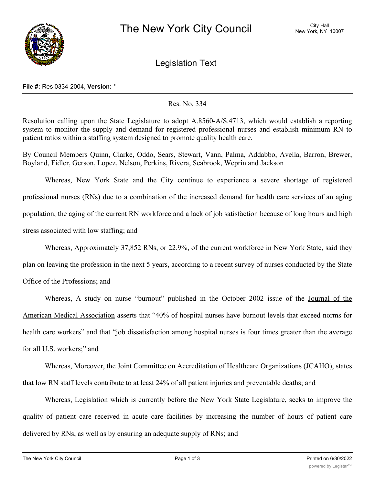

Legislation Text

## **File #:** Res 0334-2004, **Version:** \*

## Res. No. 334

Resolution calling upon the State Legislature to adopt A.8560-A/S.4713, which would establish a reporting system to monitor the supply and demand for registered professional nurses and establish minimum RN to patient ratios within a staffing system designed to promote quality health care.

By Council Members Quinn, Clarke, Oddo, Sears, Stewart, Vann, Palma, Addabbo, Avella, Barron, Brewer, Boyland, Fidler, Gerson, Lopez, Nelson, Perkins, Rivera, Seabrook, Weprin and Jackson

Whereas, New York State and the City continue to experience a severe shortage of registered professional nurses (RNs) due to a combination of the increased demand for health care services of an aging population, the aging of the current RN workforce and a lack of job satisfaction because of long hours and high stress associated with low staffing; and

Whereas, Approximately 37,852 RNs, or 22.9%, of the current workforce in New York State, said they

plan on leaving the profession in the next 5 years, according to a recent survey of nurses conducted by the State

Office of the Professions; and

Whereas, A study on nurse "burnout" published in the October 2002 issue of the Journal of the American Medical Association asserts that "40% of hospital nurses have burnout levels that exceed norms for health care workers" and that "job dissatisfaction among hospital nurses is four times greater than the average for all U.S. workers;" and

Whereas, Moreover, the Joint Committee on Accreditation of Healthcare Organizations (JCAHO), states that low RN staff levels contribute to at least 24% of all patient injuries and preventable deaths; and

Whereas, Legislation which is currently before the New York State Legislature, seeks to improve the quality of patient care received in acute care facilities by increasing the number of hours of patient care delivered by RNs, as well as by ensuring an adequate supply of RNs; and

 $\mathcal{M}_{\mathcal{A}}$  , A.8560-A/S.4713 would amend the State Labor Labor Labor Labor Labor Labor Labor Labor Labor Labor Labor Labor Labor Labor Labor Labor Labor Labor Labor Labor Labor Labor Labor Labor Labor Labor Labor Labo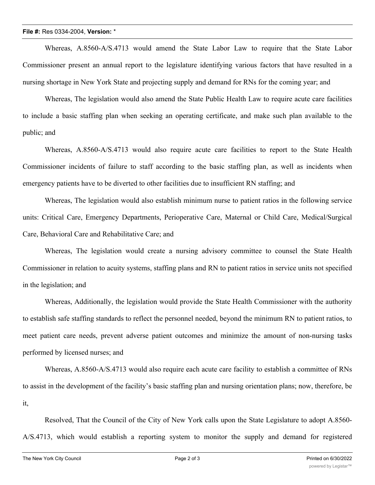Whereas, A.8560-A/S.4713 would amend the State Labor Law to require that the State Labor Commissioner present an annual report to the legislature identifying various factors that have resulted in a nursing shortage in New York State and projecting supply and demand for RNs for the coming year; and

Whereas, The legislation would also amend the State Public Health Law to require acute care facilities to include a basic staffing plan when seeking an operating certificate, and make such plan available to the public; and

Whereas, A.8560-A/S.4713 would also require acute care facilities to report to the State Health Commissioner incidents of failure to staff according to the basic staffing plan, as well as incidents when emergency patients have to be diverted to other facilities due to insufficient RN staffing; and

Whereas, The legislation would also establish minimum nurse to patient ratios in the following service units: Critical Care, Emergency Departments, Perioperative Care, Maternal or Child Care, Medical/Surgical Care, Behavioral Care and Rehabilitative Care; and

Whereas, The legislation would create a nursing advisory committee to counsel the State Health Commissioner in relation to acuity systems, staffing plans and RN to patient ratios in service units not specified in the legislation; and

Whereas, Additionally, the legislation would provide the State Health Commissioner with the authority to establish safe staffing standards to reflect the personnel needed, beyond the minimum RN to patient ratios, to meet patient care needs, prevent adverse patient outcomes and minimize the amount of non-nursing tasks performed by licensed nurses; and

Whereas, A.8560-A/S.4713 would also require each acute care facility to establish a committee of RNs to assist in the development of the facility's basic staffing plan and nursing orientation plans; now, therefore, be it,

Resolved, That the Council of the City of New York calls upon the State Legislature to adopt A.8560- A/S.4713, which would establish a reporting system to monitor the supply and demand for registered